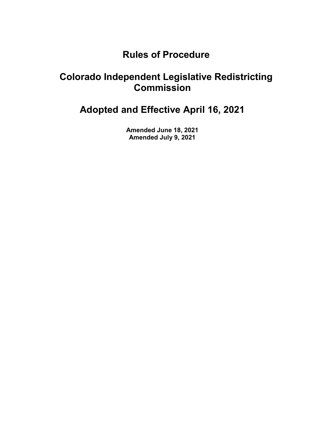# Rules of Procedure

# Colorado Independent Legislative Redistricting Commission

Adopted and Effective April 16, 2021

Amended June 18, 2021 Amended July 9, 2021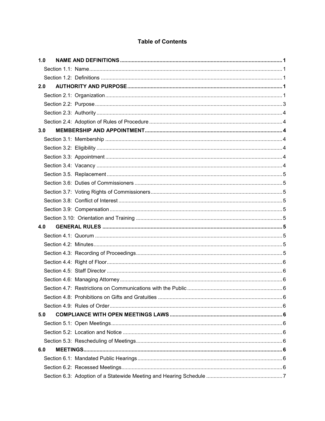# **Table of Contents**

| 1.0 |  |  |
|-----|--|--|
|     |  |  |
|     |  |  |
| 2.0 |  |  |
|     |  |  |
|     |  |  |
|     |  |  |
|     |  |  |
| 3.0 |  |  |
|     |  |  |
|     |  |  |
|     |  |  |
|     |  |  |
|     |  |  |
|     |  |  |
|     |  |  |
|     |  |  |
|     |  |  |
|     |  |  |
| 4.0 |  |  |
|     |  |  |
|     |  |  |
|     |  |  |
|     |  |  |
|     |  |  |
|     |  |  |
|     |  |  |
|     |  |  |
|     |  |  |
| 5.0 |  |  |
|     |  |  |
|     |  |  |
|     |  |  |
| 6.0 |  |  |
|     |  |  |
|     |  |  |
|     |  |  |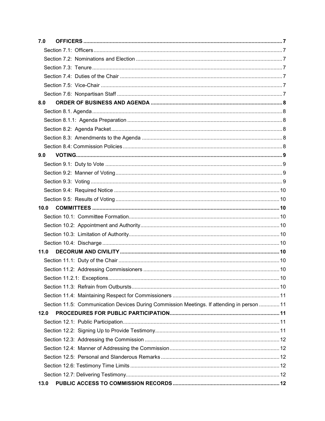| 7.0                                                                                        |  |
|--------------------------------------------------------------------------------------------|--|
|                                                                                            |  |
|                                                                                            |  |
|                                                                                            |  |
|                                                                                            |  |
|                                                                                            |  |
|                                                                                            |  |
| 8.0                                                                                        |  |
|                                                                                            |  |
|                                                                                            |  |
|                                                                                            |  |
|                                                                                            |  |
|                                                                                            |  |
| 9.0                                                                                        |  |
|                                                                                            |  |
|                                                                                            |  |
|                                                                                            |  |
|                                                                                            |  |
|                                                                                            |  |
| 10.0                                                                                       |  |
|                                                                                            |  |
|                                                                                            |  |
|                                                                                            |  |
|                                                                                            |  |
| 11.0                                                                                       |  |
|                                                                                            |  |
|                                                                                            |  |
|                                                                                            |  |
|                                                                                            |  |
|                                                                                            |  |
| Section 11.5: Communication Devices During Commission Meetings. If attending in person  11 |  |
| 12.0                                                                                       |  |
|                                                                                            |  |
|                                                                                            |  |
|                                                                                            |  |
|                                                                                            |  |
|                                                                                            |  |
|                                                                                            |  |
|                                                                                            |  |
| 13.0                                                                                       |  |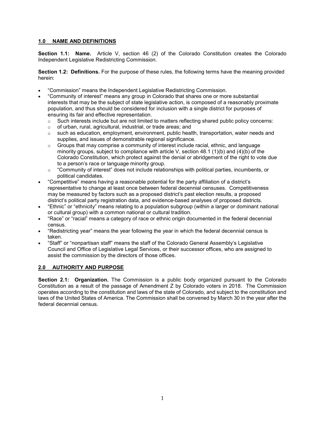# 1.0 NAME AND DEFINITIONS

Section 1.1: Name. Article V, section 46 (2) of the Colorado Constitution creates the Colorado Independent Legislative Redistricting Commission.

Section 1.2: Definitions. For the purpose of these rules, the following terms have the meaning provided herein:

- "Commission" means the Independent Legislative Redistricting Commission.
- "Community of interest" means any group in Colorado that shares one or more substantial interests that may be the subject of state legislative action, is composed of a reasonably proximate population, and thus should be considered for inclusion with a single district for purposes of ensuring its fair and effective representation.
	- $\circ$  Such interests include but are not limited to matters reflecting shared public policy concerns:
	- o of urban, rural, agricultural, industrial, or trade areas; and
	- $\circ$  such as education, employment, environment, public health, transportation, water needs and supplies, and issues of demonstrable regional significance.
	- $\circ$  Groups that may comprise a community of interest include racial, ethnic, and language minority groups, subject to compliance with article V, section  $48.1$  (1)(b) and (4)(b) of the Colorado Constitution, which protect against the denial or abridgement of the right to vote due to a person's race or language minority group.
	- $\circ$  "Community of interest" does not include relationships with political parties, incumbents, or political candidates.
- "Competitive" means having a reasonable potential for the party affiliation of a district's representative to change at least once between federal decennial censuses. Competitiveness may be measured by factors such as a proposed district's past election results, a proposed district's political party registration data, and evidence-based analyses of proposed districts.
- "Ethnic" or "ethnicity" means relating to a population subgroup (within a larger or dominant national or cultural group) with a common national or cultural tradition.
- "Race" or "racial" means a category of race or ethnic origin documented in the federal decennial census.
- "Redistricting year" means the year following the year in which the federal decennial census is taken.
- "Staff" or "nonpartisan staff" means the staff of the Colorado General Assembly's Legislative Council and Office of Legislative Legal Services, or their successor offices, who are assigned to assist the commission by the directors of those offices.

# 2.0 AUTHORITY AND PURPOSE

Section 2.1: Organization. The Commission is a public body organized pursuant to the Colorado Constitution as a result of the passage of Amendment Z by Colorado voters in 2018. The Commission operates according to the constitution and laws of the state of Colorado, and subject to the constitution and laws of the United States of America. The Commission shall be convened by March 30 in the year after the federal decennial census.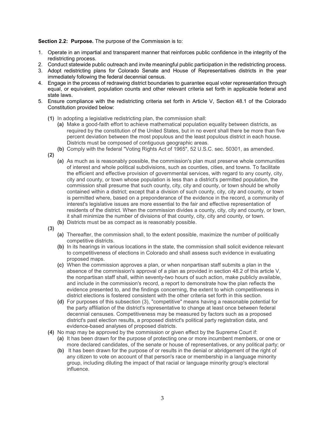### Section 2.2: Purpose. The purpose of the Commission is to:

- 1. Operate in an impartial and transparent manner that reinforces public confidence in the integrity of the redistricting process.
- 2. Conduct statewide public outreach and invite meaningful public participation in the redistricting process.
- 3. Adopt redistricting plans for Colorado Senate and House of Representatives districts in the year immediately following the federal decennial census.
- 4. Engage in the process of redrawing district boundaries to guarantee equal voter representation through equal, or equivalent, population counts and other relevant criteria set forth in applicable federal and state laws.
- 5. Ensure compliance with the redistricting criteria set forth in Article V, Section 48.1 of the Colorado Constitution provided below:
	- (1) In adopting a legislative redistricting plan, the commission shall:
		- (a) Make a good-faith effort to achieve mathematical population equality between districts, as required by the constitution of the United States, but in no event shall there be more than five percent deviation between the most populous and the least populous district in each house. Districts must be composed of contiguous geographic areas.
	- (b) Comply with the federal "Voting Rights Act of 1965", 52 U.S.C. sec. 50301, as amended.
	- (2)
		- (a) As much as is reasonably possible, the commission's plan must preserve whole communities of interest and whole political subdivisions, such as counties, cities, and towns. To facilitate the efficient and effective provision of governmental services, with regard to any county, city, city and county, or town whose population is less than a district's permitted population, the commission shall presume that such county, city, city and county, or town should be wholly contained within a district; except that a division of such county, city, city and county, or town is permitted where, based on a preponderance of the evidence in the record, a community of interest's legislative issues are more essential to the fair and effective representation of residents of the district. When the commission divides a county, city, city and county, or town, it shall minimize the number of divisions of that county, city, city and county, or town.
		- (b) Districts must be as compact as is reasonably possible.
	- (3)
		- (a) Thereafter, the commission shall, to the extent possible, maximize the number of politically competitive districts.
		- (b) In its hearings in various locations in the state, the commission shall solicit evidence relevant to competitiveness of elections in Colorado and shall assess such evidence in evaluating proposed maps.
		- (c) When the commission approves a plan, or when nonpartisan staff submits a plan in the absence of the commission's approval of a plan as provided in section 48.2 of this article V, the nonpartisan staff shall, within seventy-two hours of such action, make publicly available, and include in the commission's record, a report to demonstrate how the plan reflects the evidence presented to, and the findings concerning, the extent to which competitiveness in district elections is fostered consistent with the other criteria set forth in this section.
		- (d) For purposes of this subsection (3), "competitive" means having a reasonable potential for the party affiliation of the district's representative to change at least once between federal decennial censuses. Competitiveness may be measured by factors such as a proposed district's past election results, a proposed district's political party registration data, and evidence-based analyses of proposed districts.
	- (4) No map may be approved by the commission or given effect by the Supreme Court if:
		- (a) It has been drawn for the purpose of protecting one or more incumbent members, or one or more declared candidates, of the senate or house of representatives, or any political party; or
		- (b) It has been drawn for the purpose of or results in the denial or abridgement of the right of any citizen to vote on account of that person's race or membership in a language minority group, including diluting the impact of that racial or language minority group's electoral influence.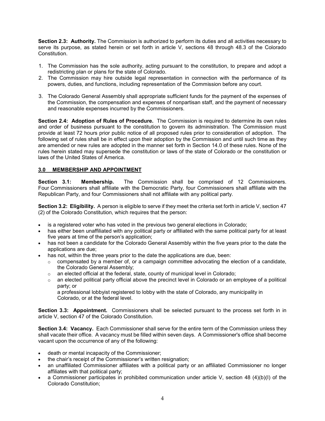Section 2.3: Authority. The Commission is authorized to perform its duties and all activities necessary to serve its purpose, as stated herein or set forth in article V, sections 48 through 48.3 of the Colorado Constitution.

- 1. The Commission has the sole authority, acting pursuant to the constitution, to prepare and adopt a redistricting plan or plans for the state of Colorado.
- 2. The Commission may hire outside legal representation in connection with the performance of its powers, duties, and functions, including representation of the Commission before any court.
- 3. The Colorado General Assembly shall appropriate sufficient funds for the payment of the expenses of the Commission, the compensation and expenses of nonpartisan staff, and the payment of necessary and reasonable expenses incurred by the Commissioners.

Section 2.4: Adoption of Rules of Procedure. The Commission is required to determine its own rules and order of business pursuant to the constitution to govern its administration. The Commission must provide at least 72 hours prior public notice of all proposed rules prior to consideration of adoption. The following set of rules shall be in effect upon their adoption by the Commission and until such time as they are amended or new rules are adopted in the manner set forth in Section 14.0 of these rules. None of the rules herein stated may supersede the constitution or laws of the state of Colorado or the constitution or laws of the United States of America.

# 3.0 MEMBERSHIP AND APPOINTMENT

Section 3.1: Membership. The Commission shall be comprised of 12 Commissioners. Four Commissioners shall affiliate with the Democratic Party, four Commissioners shall affiliate with the Republican Party, and four Commissioners shall not affiliate with any political party.

Section 3.2: Eligibility. A person is eligible to serve if they meet the criteria set forth in article V, section 47 (2) of the Colorado Constitution, which requires that the person:

- is a registered voter who has voted in the previous two general elections in Colorado;
- has either been unaffiliated with any political party or affiliated with the same political party for at least five years at time of the person's application;
- has not been a candidate for the Colorado General Assembly within the five years prior to the date the applications are due;
- has not, within the three years prior to the date the applications are due, been:
	- $\circ$  compensated by a member of, or a campaign committee advocating the election of a candidate, the Colorado General Assembly;
	- $\circ$  an elected official at the federal, state, county of municipal level in Colorado;
	- $\circ$  an elected political party official above the precinct level in Colorado or an employee of a political party; or

a professional lobbyist registered to lobby with the state of Colorado, any municipality in Colorado, or at the federal level.

Section 3.3: Appointment. Commissioners shall be selected pursuant to the process set forth in in article V, section 47 of the Colorado Constitution.

Section 3.4: Vacancy. Each Commissioner shall serve for the entire term of the Commission unless they shall vacate their office. A vacancy must be filled within seven days. A Commissioner's office shall become vacant upon the occurrence of any of the following:

- death or mental incapacity of the Commissioner;
- the chair's receipt of the Commissioner's written resignation;
- an unaffiliated Commissioner affiliates with a political party or an affiliated Commissioner no longer affiliates with that political party;
- a Commissioner participates in prohibited communication under article V, section 48 (4)(b)(I) of the Colorado Constitution;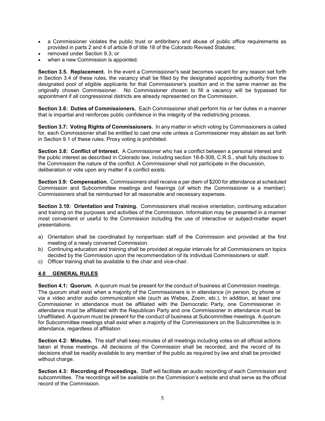- a Commissioner violates the public trust or antibribery and abuse of public office requirements as provided in parts 2 and 4 of article 8 of title 18 of the Colorado Revised Statutes;
- removed under Section 9.3; or
- when a new Commission is appointed.

Section 3.5. Replacement. In the event a Commissioner's seat becomes vacant for any reason set forth in Section 3.4 of these rules, the vacancy shall be filled by the designated appointing authority from the designated pool of eligible applicants for that Commissioner's position and in the same manner as the originally chosen Commissioner. No Commissioner chosen to fill a vacancy will be bypassed for appointment if all congressional districts are already represented on the Commission.

Section 3.6: Duties of Commissioners. Each Commissioner shall perform his or her duties in a manner that is impartial and reinforces public confidence in the integrity of the redistricting process.

Section 3.7: Voting Rights of Commissioners. In any matter in which voting by Commissioners is called for, each Commissioner shall be entitled to cast one vote unless a Commissioner may abstain as set forth in Section 9.1 of these rules. Proxy voting is prohibited.

Section 3.8: Conflict of Interest. A Commissioner who has a conflict between a personal interest and the public interest as described in Colorado law, including section 18-8-308, C.R.S., shall fully disclose to the Commission the nature of the conflict. A Commissioner shall not participate in the discussion, deliberation or vote upon any matter if a conflict exists.

Section 3.9: Compensation. Commissioners shall receive a per diem of \$200 for attendance at scheduled Commission and Subcommittee meetings and hearings (of which the Commissioner is a member). Commissioners shall be reimbursed for all reasonable and necessary expenses.

Section 3.10: Orientation and Training. Commissioners shall receive orientation, continuing education and training on the purposes and activities of the Commission. Information may be presented in a manner most convenient or useful to the Commission including the use of interactive or subject-matter expert presentations.

- a) Orientation shall be coordinated by nonpartisan staff of the Commission and provided at the first meeting of a newly convened Commission.
- b) Continuing education and training shall be provided at regular intervals for all Commissioners on topics decided by the Commission upon the recommendation of its individual Commissioners or staff.
- c) Officer training shall be available to the chair and vice-chair.

# 4.0 GENERAL RULES

Section 4.1: Quorum. A quorum must be present for the conduct of business at Commission meetings. The quorum shall exist when a majority of the Commissioners is in attendance (in person, by phone or via a video and/or audio communication site (such as Webex, Zoom, etc.). In addition, at least one Commissioner in attendance must be affiliated with the Democratic Party, one Commissioner in attendance must be affiliated with the Republican Party and one Commissioner in attendance must be Unaffiliated. A quorum must be present for the conduct of business at Subcommittee meetings. A quorum for Subcommittee meetings shall exist when a majority of the Commissioners on the Subcommittee is in attendance, regardless of affiliation

Section 4.2: Minutes. The staff shall keep minutes of all meetings including votes on all official actions taken at those meetings. All decisions of the Commission shall be recorded, and the record of its decisions shall be readily available to any member of the public as required by law and shall be provided without charge.

Section 4.3: Recording of Proceedings. Staff will facilitate an audio recording of each Commission and subcommittee. The recordings will be available on the Commission's website and shall serve as the official record of the Commission.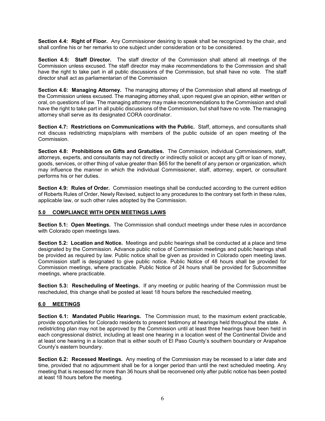Section 4.4: Right of Floor. Any Commissioner desiring to speak shall be recognized by the chair, and shall confine his or her remarks to one subject under consideration or to be considered.

Section 4.5: Staff Director. The staff director of the Commission shall attend all meetings of the Commission unless excused. The staff director may make recommendations to the Commission and shall have the right to take part in all public discussions of the Commission, but shall have no vote. The staff director shall act as parliamentarian of the Commission

Section 4.6: Managing Attorney. The managing attorney of the Commission shall attend all meetings of the Commission unless excused. The managing attorney shall, upon request give an opinion, either written or oral, on questions of law. The managing attorney may make recommendations to the Commission and shall have the right to take part in all public discussions of the Commission, but shall have no vote. The managing attorney shall serve as its designated CORA coordinator.

Section 4.7: Restrictions on Communications with the Public. Staff, attorneys, and consultants shall not discuss redistricting maps/plans with members of the public outside of an open meeting of the Commission.

Section 4.8: Prohibitions on Gifts and Gratuities. The Commission, individual Commissioners, staff, attorneys, experts, and consultants may not directly or indirectly solicit or accept any gift or loan of money, goods, services, or other thing of value greater than \$65 for the benefit of any person or organization, which may influence the manner in which the individual Commissioner, staff, attorney, expert, or consultant performs his or her duties.

Section 4.9: Rules of Order. Commission meetings shall be conducted according to the current edition of Roberts Rules of Order, Newly Revised, subject to any procedures to the contrary set forth in these rules, applicable law, or such other rules adopted by the Commission.

# 5.0 COMPLIANCE WITH OPEN MEETINGS LAWS

Section 5.1: Open Meetings. The Commission shall conduct meetings under these rules in accordance with Colorado open meetings laws.

Section 5.2: Location and Notice. Meetings and public hearings shall be conducted at a place and time designated by the Commission. Advance public notice of Commission meetings and public hearings shall be provided as required by law. Public notice shall be given as provided in Colorado open meeting laws. Commission staff is designated to give public notice. Public Notice of 48 hours shall be provided for Commission meetings, where practicable. Public Notice of 24 hours shall be provided for Subcommittee meetings, where practicable.

Section 5.3: Rescheduling of Meetings. If any meeting or public hearing of the Commission must be rescheduled, this change shall be posted at least 18 hours before the rescheduled meeting.

# 6.0 MEETINGS

Section 6.1: Mandated Public Hearings. The Commission must, to the maximum extent practicable, provide opportunities for Colorado residents to present testimony at hearings held throughout the state. A redistricting plan may not be approved by the Commission until at least three hearings have been held in each congressional district, including at least one hearing in a location west of the Continental Divide and at least one hearing in a location that is either south of El Paso County's southern boundary or Arapahoe County's eastern boundary.

Section 6.2: Recessed Meetings. Any meeting of the Commission may be recessed to a later date and time, provided that no adjournment shall be for a longer period than until the next scheduled meeting. Any meeting that is recessed for more than 36 hours shall be reconvened only after public notice has been posted at least 18 hours before the meeting.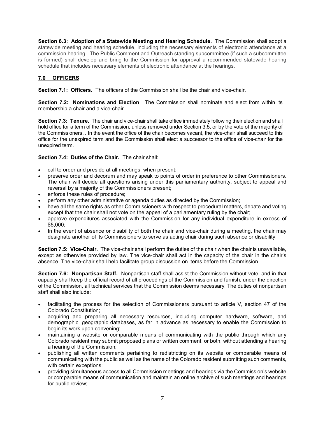Section 6.3: Adoption of a Statewide Meeting and Hearing Schedule. The Commission shall adopt a statewide meeting and hearing schedule, including the necessary elements of electronic attendance at a commission hearing. The Public Comment and Outreach standing subcommittee (if such a subcommittee is formed) shall develop and bring to the Commission for approval a recommended statewide hearing schedule that includes necessary elements of electronic attendance at the hearings.

# 7.0 OFFICERS

Section 7.1: Officers. The officers of the Commission shall be the chair and vice-chair.

Section 7.2: Nominations and Election. The Commission shall nominate and elect from within its membership a chair and a vice-chair.

Section 7.3: Tenure. The chair and vice-chair shall take office immediately following their election and shall hold office for a term of the Commission, unless removed under Section 3.5, or by the vote of the majority of the Commissioners. . In the event the office of the chair becomes vacant, the vice-chair shall succeed to this office for the unexpired term and the Commission shall elect a successor to the office of vice-chair for the unexpired term.

# Section 7.4: Duties of the Chair. The chair shall:

- call to order and preside at all meetings, when present;
- preserve order and decorum and may speak to points of order in preference to other Commissioners. The chair will decide all questions arising under this parliamentary authority, subject to appeal and reversal by a majority of the Commissioners present;
- enforce these rules of procedure;
- perform any other administrative or agenda duties as directed by the Commission;
- have all the same rights as other Commissioners with respect to procedural matters, debate and voting except that the chair shall not vote on the appeal of a parliamentary ruling by the chair;
- approve expenditures associated with the Commission for any individual expenditure in excess of \$5,000;
- In the event of absence or disability of both the chair and vice-chair during a meeting, the chair may designate another of its Commissioners to serve as acting chair during such absence or disability.

Section 7.5: Vice-Chair. The vice-chair shall perform the duties of the chair when the chair is unavailable, except as otherwise provided by law. The vice-chair shall act in the capacity of the chair in the chair's absence. The vice-chair shall help facilitate group discussion on items before the Commission.

Section 7.6: Nonpartisan Staff. Nonpartisan staff shall assist the Commission without vote, and in that capacity shall keep the official record of all proceedings of the Commission and furnish, under the direction of the Commission, all technical services that the Commission deems necessary. The duties of nonpartisan staff shall also include:

- facilitating the process for the selection of Commissioners pursuant to article V, section 47 of the Colorado Constitution;
- acquiring and preparing all necessary resources, including computer hardware, software, and demographic, geographic databases, as far in advance as necessary to enable the Commission to begin its work upon convening;
- maintaining a website or comparable means of communicating with the public through which any Colorado resident may submit proposed plans or written comment, or both, without attending a hearing a hearing of the Commission;
- publishing all written comments pertaining to redistricting on its website or comparable means of communicating with the public as well as the name of the Colorado resident submitting such comments, with certain exceptions;
- providing simultaneous access to all Commission meetings and hearings via the Commission's website or comparable means of communication and maintain an online archive of such meetings and hearings for public review;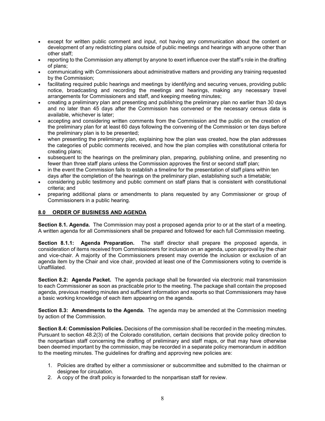- except for written public comment and input, not having any communication about the content or development of any redistricting plans outside of public meetings and hearings with anyone other than other staff;
- reporting to the Commission any attempt by anyone to exert influence over the staff's role in the drafting of plans;
- communicating with Commissioners about administrative matters and providing any training requested by the Commission;
- facilitating required public hearings and meetings by identifying and securing venues, providing public notice, broadcasting and recording the meetings and hearings, making any necessary travel arrangements for Commissioners and staff, and keeping meeting minutes;
- creating a preliminary plan and presenting and publishing the preliminary plan no earlier than 30 days and no later than 45 days after the Commission has convened or the necessary census data is available, whichever is later;
- accepting and considering written comments from the Commission and the public on the creation of the preliminary plan for at least 60 days following the convening of the Commission or ten days before the preliminary plan is to be presented;
- when presenting the preliminary plan, explaining how the plan was created, how the plan addresses the categories of public comments received, and how the plan complies with constitutional criteria for creating plans;
- subsequent to the hearings on the preliminary plan, preparing, publishing online, and presenting no fewer than three staff plans unless the Commission approves the first or second staff plan;
- in the event the Commission fails to establish a timeline for the presentation of staff plans within ten days after the completion of the hearings on the preliminary plan, establishing such a timetable;
- considering public testimony and public comment on staff plans that is consistent with constitutional criteria; and
- preparing additional plans or amendments to plans requested by any Commissioner or group of Commissioners in a public hearing.

# 8.0 ORDER OF BUSINESS AND AGENDA

Section 8.1. Agenda. The Commission may post a proposed agenda prior to or at the start of a meeting. A written agenda for all Commissioners shall be prepared and followed for each full Commission meeting.

Section 8.1.1: Agenda Preparation. The staff director shall prepare the proposed agenda, in consideration of items received from Commissioners for inclusion on an agenda, upon approval by the chair and vice-chair. A majority of the Commissioners present may override the inclusion or exclusion of an agenda item by the Chair and vice chair, provided at least one of the Commissioners voting to override is Unaffiliated.

Section 8.2: Agenda Packet. The agenda package shall be forwarded via electronic mail transmission to each Commissioner as soon as practicable prior to the meeting. The package shall contain the proposed agenda, previous meeting minutes and sufficient information and reports so that Commissioners may have a basic working knowledge of each item appearing on the agenda.

Section 8.3: Amendments to the Agenda. The agenda may be amended at the Commission meeting by action of the Commission.

Section 8.4: Commission Policies. Decisions of the commission shall be recorded in the meeting minutes. Pursuant to section 48.2(3) of the Colorado constitution, certain decisions that provide policy direction to the nonpartisan staff concerning the drafting of preliminary and staff maps, or that may have otherwise been deemed important by the commission, may be recorded in a separate policy memorandum in addition to the meeting minutes. The guidelines for drafting and approving new policies are:

- 1. Policies are drafted by either a commissioner or subcommittee and submitted to the chairman or designee for circulation.
- 2. A copy of the draft policy is forwarded to the nonpartisan staff for review.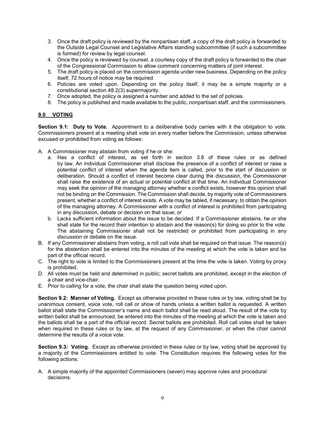- 3. Once the draft policy is reviewed by the nonpartisan staff, a copy of the draft policy is forwarded to the Outside Legal Counsel and Legislative Affairs standing subcommittee (if such a subcommittee is formed) for review by legal counsel.
- 4. Once the policy is reviewed by counsel, a courtesy copy of the draft policy is forwarded to the chair of the Congressional Commission to allow comment concerning matters of joint interest.
- 5. The draft policy is placed on the commission agenda under new business. Depending on the policy itself, 72 hours of notice may be required.
- 6. Policies are voted upon. Depending on the policy itself, it may be a simple majority or a constitutional section 48.2(3) supermajority.
- 7. Once adopted, the policy is assigned a number and added to the set of policies.
- 8. The policy is published and made available to the public, nonpartisan staff, and the commissioners.

### 9.0 VOTING

Section 9.1: Duty to Vote. Appointment to a deliberative body carries with it the obligation to vote. Commissioners present at a meeting shall vote on every matter before the Commission, unless otherwise excused or prohibited from voting as follows:

- A. A Commissioner may abstain from voting if he or she:
	- a. Has a conflict of interest, as set forth in section 3.8 of these rules or as defined by law. An individual Commissioner shall disclose the presence of a conflict of interest or raise a potential conflict of interest when the agenda item is called, prior to the start of discussion or deliberation. Should a conflict of interest become clear during the discussion, the Commissioner shall raise the existence of an actual or potential conflict at that time. An individual Commissioner may seek the opinion of the managing attorney whether a conflict exists, however this opinion shall not be binding on the Commission. The Commission shall decide, by majority vote of Commissioners present, whether a conflict of interest exists. A vote may be tabled, if necessary, to obtain the opinion of the managing attorney. A Commissioner with a conflict of interest is prohibited from participating in any discussion, debate or decision on that issue; or
	- b. Lacks sufficient information about the issue to be decided. If a Commissioner abstains, he or she shall state for the record their intention to abstain and the reason(s) for doing so prior to the vote. The abstaining Commissioner shall not be restricted or prohibited from participating in any discussion or debate on the issue.
- B. If any Commissioner abstains from voting, a roll call vote shall be required on that issue. The reason(s) for the abstention shall be entered into the minutes of the meeting at which the vote is taken and be part of the official record.
- C. The right to vote is limited to the Commissioners present at the time the vote is taken. Voting by proxy is prohibited.
- D. All votes must be held and determined in public; secret ballots are prohibited, except in the election of a chair and vice-chair.
- E. Prior to calling for a vote, the chair shall state the question being voted upon.

Section 9.2: Manner of Voting. Except as otherwise provided in these rules or by law, voting shall be by unanimous consent, voice vote, roll call or show of hands unless a written ballot is requested. A written ballot shall state the Commissioner's name and each ballot shall be read aloud. The result of the vote by written ballot shall be announced, be entered into the minutes of the meeting at which the vote is taken and the ballots shall be a part of the official record. Secret ballots are prohibited. Roll call votes shall be taken when required in these rules or by law, at the request of any Commissioner, or when the chair cannot determine the results of a voice vote.

Section 9.3: Voting. Except as otherwise provided in these rules or by law, voting shall be approved by a majority of the Commissioners entitled to vote. The Constitution requires the following votes for the following actions:

A. A simple majority of the appointed Commissioners (seven) may approve rules and procedural decisions.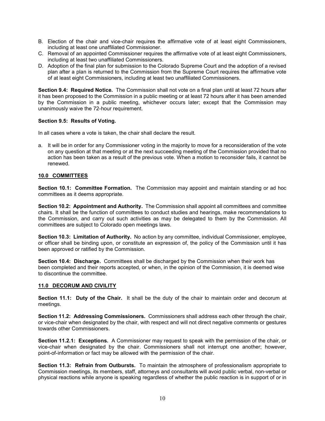- B. Election of the chair and vice-chair requires the affirmative vote of at least eight Commissioners, including at least one unaffiliated Commissioner.
- C. Removal of an appointed Commissioner requires the affirmative vote of at least eight Commissioners, including at least two unaffiliated Commissioners.
- D. Adoption of the final plan for submission to the Colorado Supreme Court and the adoption of a revised plan after a plan is returned to the Commission from the Supreme Court requires the affirmative vote of at least eight Commissioners, including at least two unaffiliated Commissioners.

Section 9.4: Required Notice. The Commission shall not vote on a final plan until at least 72 hours after it has been proposed to the Commission in a public meeting or at least 72 hours after it has been amended by the Commission in a public meeting, whichever occurs later; except that the Commission may unanimously waive the 72-hour requirement.

### Section 9.5: Results of Voting.

In all cases where a vote is taken, the chair shall declare the result.

a. It will be in order for any Commissioner voting in the majority to move for a reconsideration of the vote on any question at that meeting or at the next succeeding meeting of the Commission provided that no action has been taken as a result of the previous vote. When a motion to reconsider fails, it cannot be renewed.

# 10.0 COMMITTEES

Section 10.1: Committee Formation. The Commission may appoint and maintain standing or ad hoc committees as it deems appropriate.

Section 10.2: Appointment and Authority. The Commission shall appoint all committees and committee chairs. It shall be the function of committees to conduct studies and hearings, make recommendations to the Commission, and carry out such activities as may be delegated to them by the Commission. All committees are subject to Colorado open meetings laws.

Section 10.3: Limitation of Authority. No action by any committee, individual Commissioner, employee, or officer shall be binding upon, or constitute an expression of, the policy of the Commission until it has been approved or ratified by the Commission.

Section 10.4: Discharge. Committees shall be discharged by the Commission when their work has been completed and their reports accepted, or when, in the opinion of the Commission, it is deemed wise to discontinue the committee.

#### 11.0 DECORUM AND CIVILITY

Section 11.1: Duty of the Chair. It shall be the duty of the chair to maintain order and decorum at meetings.

Section 11.2: Addressing Commissioners. Commissioners shall address each other through the chair, or vice-chair when designated by the chair, with respect and will not direct negative comments or gestures towards other Commissioners.

Section 11.2.1: Exceptions. A Commissioner may request to speak with the permission of the chair, or vice-chair when designated by the chair. Commissioners shall not interrupt one another; however, point-of-information or fact may be allowed with the permission of the chair.

Section 11.3: Refrain from Outbursts. To maintain the atmosphere of professionalism appropriate to Commission meetings, its members, staff, attorneys and consultants will avoid public verbal, non-verbal or physical reactions while anyone is speaking regardless of whether the public reaction is in support of or in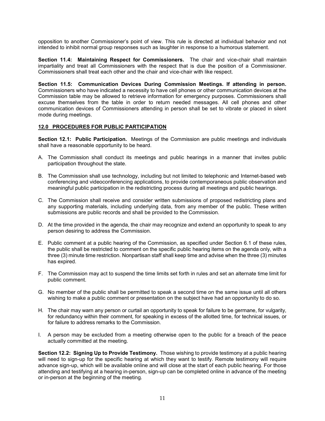opposition to another Commissioner's point of view. This rule is directed at individual behavior and not intended to inhibit normal group responses such as laughter in response to a humorous statement.

Section 11.4: Maintaining Respect for Commissioners. The chair and vice-chair shall maintain impartiality and treat all Commissioners with the respect that is due the position of a Commissioner. Commissioners shall treat each other and the chair and vice-chair with like respect.

Section 11.5: Communication Devices During Commission Meetings. If attending in person. Commissioners who have indicated a necessity to have cell phones or other communication devices at the Commission table may be allowed to retrieve information for emergency purposes. Commissioners shall excuse themselves from the table in order to return needed messages. All cell phones and other communication devices of Commissioners attending in person shall be set to vibrate or placed in silent mode during meetings.

### 12.0 PROCEDURES FOR PUBLIC PARTICIPATION

Section 12.1: Public Participation. Meetings of the Commission are public meetings and individuals shall have a reasonable opportunity to be heard.

- A. The Commission shall conduct its meetings and public hearings in a manner that invites public participation throughout the state.
- B. The Commission shall use technology, including but not limited to telephonic and Internet-based web conferencing and videoconferencing applications, to provide contemporaneous public observation and meaningful public participation in the redistricting process during all meetings and public hearings.
- C. The Commission shall receive and consider written submissions of proposed redistricting plans and any supporting materials, including underlying data, from any member of the public. These written submissions are public records and shall be provided to the Commission.
- D. At the time provided in the agenda, the chair may recognize and extend an opportunity to speak to any person desiring to address the Commission.
- E. Public comment at a public hearing of the Commission, as specified under Section 6.1 of these rules, the public shall be restricted to comment on the specific public hearing items on the agenda only, with a three (3) minute time restriction. Nonpartisan staff shall keep time and advise when the three (3) minutes has expired.
- F. The Commission may act to suspend the time limits set forth in rules and set an alternate time limit for public comment.
- G. No member of the public shall be permitted to speak a second time on the same issue until all others wishing to make a public comment or presentation on the subject have had an opportunity to do so.
- H. The chair may warn any person or curtail an opportunity to speak for failure to be germane, for vulgarity, for redundancy within their comment, for speaking in excess of the allotted time, for technical issues, or for failure to address remarks to the Commission.
- I. A person may be excluded from a meeting otherwise open to the public for a breach of the peace actually committed at the meeting.

Section 12.2: Signing Up to Provide Testimony. Those wishing to provide testimony at a public hearing will need to sign-up for the specific hearing at which they want to testify. Remote testimony will require advance sign-up, which will be available online and will close at the start of each public hearing. For those attending and testifying at a hearing in-person, sign-up can be completed online in advance of the meeting or in-person at the beginning of the meeting.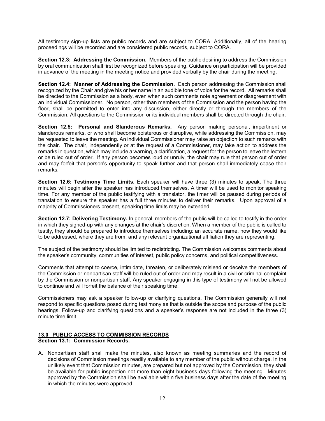All testimony sign-up lists are public records and are subject to CORA. Additionally, all of the hearing proceedings will be recorded and are considered public records, subject to CORA.

Section 12.3: Addressing the Commission. Members of the public desiring to address the Commission by oral communication shall first be recognized before speaking. Guidance on participation will be provided in advance of the meeting in the meeting notice and provided verbally by the chair during the meeting.

Section 12.4: Manner of Addressing the Commission. Each person addressing the Commission shall recognized by the Chair and give his or her name in an audible tone of voice for the record. All remarks shall be directed to the Commission as a body, even when such comments note agreement or disagreement with an individual Commissioner. No person, other than members of the Commission and the person having the floor, shall be permitted to enter into any discussion, either directly or through the members of the Commission. All questions to the Commission or its individual members shall be directed through the chair.

Section 12.5: Personal and Slanderous Remarks. Any person making personal, impertinent or slanderous remarks, or who shall become boisterous or disruptive, while addressing the Commission, may be requested to leave the meeting. An individual Commissioner may raise an objection to such remarks with the chair. The chair, independently or at the request of a Commissioner, may take action to address the remarks in question, which may include a warning, a clarification, a request for the person to leave the lectern or be ruled out of order. If any person becomes loud or unruly, the chair may rule that person out of order and may forfeit that person's opportunity to speak further and that person shall immediately cease their remarks.

Section 12.6: Testimony Time Limits. Each speaker will have three (3) minutes to speak. The three minutes will begin after the speaker has introduced themselves. A timer will be used to monitor speaking time. For any member of the public testifying with a translator, the timer will be paused during periods of translation to ensure the speaker has a full three minutes to deliver their remarks. Upon approval of a majority of Commissioners present, speaking time limits may be extended.

Section 12.7: Delivering Testimony. In general, members of the public will be called to testify in the order in which they signed-up with any changes at the chair's discretion. When a member of the public is called to testify, they should be prepared to introduce themselves including: an accurate name, how they would like to be addressed, where they are from, and any relevant organizational affiliation they are representing.

The subject of the testimony should be limited to redistricting. The Commission welcomes comments about the speaker's community, communities of interest, public policy concerns, and political competitiveness.

Comments that attempt to coerce, intimidate, threaten, or deliberately mislead or deceive the members of the Commission or nonpartisan staff will be ruled out of order and may result in a civil or criminal complaint by the Commission or nonpartisan staff. Any speaker engaging in this type of testimony will not be allowed to continue and will forfeit the balance of their speaking time.

Commissioners may ask a speaker follow-up or clarifying questions. The Commission generally will not respond to specific questions posed during testimony as that is outside the scope and purpose of the public hearings. Follow-up and clarifying questions and a speaker's response are not included in the three (3) minute time limit.

### 13.0 PUBLIC ACCESS TO COMMISSION RECORDS Section 13.1: Commission Records.

A. Nonpartisan staff shall make the minutes, also known as meeting summaries and the record of decisions of Commission meetings readily available to any member of the public without charge. In the unlikely event that Commission minutes, are prepared but not approved by the Commission, they shall be available for public inspection not more than eight business days following the meeting. Minutes approved by the Commission shall be available within five business days after the date of the meeting in which the minutes were approved.